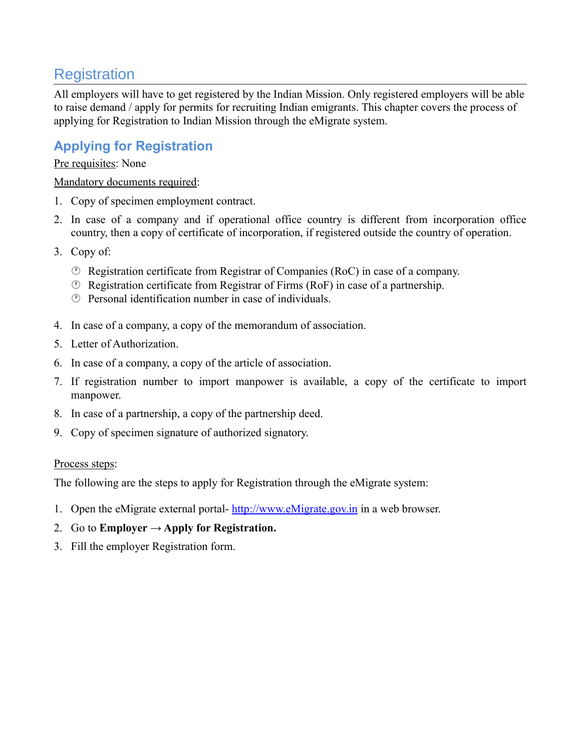# **Registration**

All employers will have to get registered by the Indian Mission. Only registered employers will be able to raise demand / apply for permits for recruiting Indian emigrants. This chapter covers the process of applying for Registration to Indian Mission through the eMigrate system.

## **Applying for Registration**

#### Pre requisites: None

#### Mandatory documents required:

- 1. Copy of specimen employment contract.
- 2. In case of a company and if operational office country is different from incorporation office country, then a copy of certificate of incorporation, if registered outside the country of operation.
- 3. Copy of:
	- Registration certificate from Registrar of Companies (RoC) in case of a company.
	- Registration certificate from Registrar of Firms (RoF) in case of a partnership.
	- Personal identification number in case of individuals.
- 4. In case of a company, a copy of the memorandum of association.
- 5. Letter of Authorization.
- 6. In case of a company, a copy of the article of association.
- 7. If registration number to import manpower is available, a copy of the certificate to import manpower.
- 8. In case of a partnership, a copy of the partnership deed.
- 9. Copy of specimen signature of authorized signatory.

### Process steps:

The following are the steps to apply for Registration through the eMigrate system:

- 1. Open the eMigrate external portal- [http://www.eMigrate.gov.in](http://www.eMigrate.gov.in/) in a web browser.
- 2. Go to **Employer**  $\rightarrow$  Apply for Registration.
- 3. Fill the employer Registration form.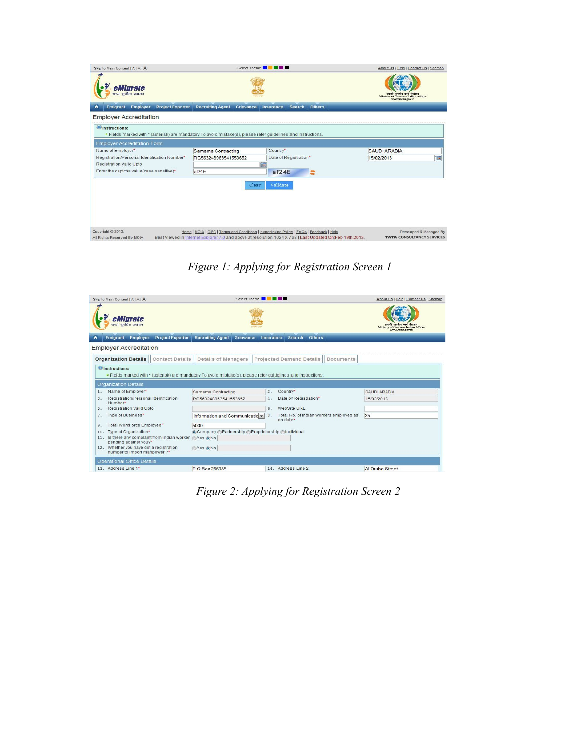| Skip to Main Content   A   A   A                                                                                                          |                                                                                                                                                                                                       | Select Theme <b>NEW IN BILLER</b> |               | About Us   Help   Contact Us   Sitemap                     |
|-------------------------------------------------------------------------------------------------------------------------------------------|-------------------------------------------------------------------------------------------------------------------------------------------------------------------------------------------------------|-----------------------------------|---------------|------------------------------------------------------------|
| eMigrate<br>सरल सुरक्षित प्रवासन                                                                                                          |                                                                                                                                                                                                       |                                   |               | Ministry of Overseas Indian Affairs                        |
| <b>Employer</b><br><b>Project Exporter</b><br>$\bullet$<br><b>Emigrant</b>                                                                | <b>Recruiting Agent</b><br>Grievance                                                                                                                                                                  | Search<br>Insurance               | <b>Others</b> |                                                            |
| <b>Employer Accreditation</b>                                                                                                             |                                                                                                                                                                                                       |                                   |               |                                                            |
| <b>O</b> Instructions:<br>. Fields marked with * (asterisk) are mandatory. To avoid mistake(s), please refer quidelines and instructions. |                                                                                                                                                                                                       |                                   |               |                                                            |
| <b>Employer Accreditation Form</b>                                                                                                        |                                                                                                                                                                                                       |                                   |               |                                                            |
| Name of Employer*                                                                                                                         | Samama Contracting                                                                                                                                                                                    | Country*                          |               | <b>SAUDI ARABIA</b>                                        |
| Registration/Personal Identification Number*                                                                                              | RG563248963541553652                                                                                                                                                                                  | Date of Registration*             |               | H<br>15/02/2013                                            |
| Registration Valid Upto                                                                                                                   |                                                                                                                                                                                                       | m                                 |               |                                                            |
| Enter the captcha value(case sensitive)*                                                                                                  | ef24E                                                                                                                                                                                                 | ef24E                             | a             |                                                            |
|                                                                                                                                           | Clear                                                                                                                                                                                                 | Validate                          |               |                                                            |
| Copyright @ 2013.<br>All Rights Reserved By MOIA.                                                                                         | Home   MOIA   OIFC   Terms and Conditions   Hyperlinking Policy   FAQs   Feedback   Help<br>Best Viewed in Internet Explorer 7.0 and above at resolution 1024 X 768   Last Updated On:Feb 19th, 2013. |                                   |               | Developed & Managed By<br><b>TATA CONSULTANCY SERVICES</b> |

*Figure 1: Applying for Registration Screen 1*

|     | Skip to Main Content   A   A   A                                                | Select Theme <b>NEW YORK</b>                                                                                    |                                                           | About Us   Help   Contact Us   Sitemap                 |
|-----|---------------------------------------------------------------------------------|-----------------------------------------------------------------------------------------------------------------|-----------------------------------------------------------|--------------------------------------------------------|
|     | eMigrate<br>सरल सुरक्षित प्रवासन                                                |                                                                                                                 |                                                           | Ministry of Overseas Indian Affairs<br>www.moia.gov.in |
| ٠   | <b>Project Exporter</b><br><b>Employer</b><br><b>Emigrant</b>                   | <b>Recruiting Agent</b><br>Grievance                                                                            | Search<br><b>Others</b><br>Insurance                      |                                                        |
|     | <b>Employer Accreditation</b>                                                   |                                                                                                                 |                                                           |                                                        |
|     | <b>Contact Details</b><br><b>Organization Details</b>                           | <b>Details of Managers</b>                                                                                      | <b>Projected Demand Details</b><br>Documents              |                                                        |
|     | <b>Organization Details</b>                                                     | " Fields marked with * (asterisk) are mandatory. To avoid mistake(s), please refer quidelines and instructions. |                                                           |                                                        |
| 1.  | Name of Employer*                                                               | Samama Contracting                                                                                              | Country*<br>2.                                            | SAUDI ARABIA                                           |
| 3.  | Registration/Personal Identification<br>Number*                                 | RG563248963541553652                                                                                            | Date of Registration*<br>4.                               | 15/02/2013                                             |
| 5.  | <b>Registration Valid Upto</b>                                                  |                                                                                                                 | WebSite URL<br>6.                                         |                                                        |
| 7.  | Type of Business*                                                               | Information and Communicatic -                                                                                  | Total No. of Indian workers employed as<br>8.<br>on date* | 25                                                     |
| 9.  | Total WorkForce Employed*                                                       | 5000                                                                                                            |                                                           |                                                        |
| 10. | Type of Organization*                                                           | Company @Partnership @Proprietorship @Individual                                                                |                                                           |                                                        |
|     | 11. Is there any complaint from Indian worker @Yes @No<br>pending against you?* |                                                                                                                 |                                                           |                                                        |
|     | 12. Whether you have got a registration<br>number to import manpower ?*         | ⊙Yes ⊙No                                                                                                        |                                                           |                                                        |
|     | <b>Operational Office Details</b>                                               |                                                                                                                 |                                                           |                                                        |
|     | 13. Address Line 1*                                                             | P O Box 286985                                                                                                  | 14. Address Line 2                                        | Al Oruba Street                                        |

*Figure 2: Applying for Registration Screen 2*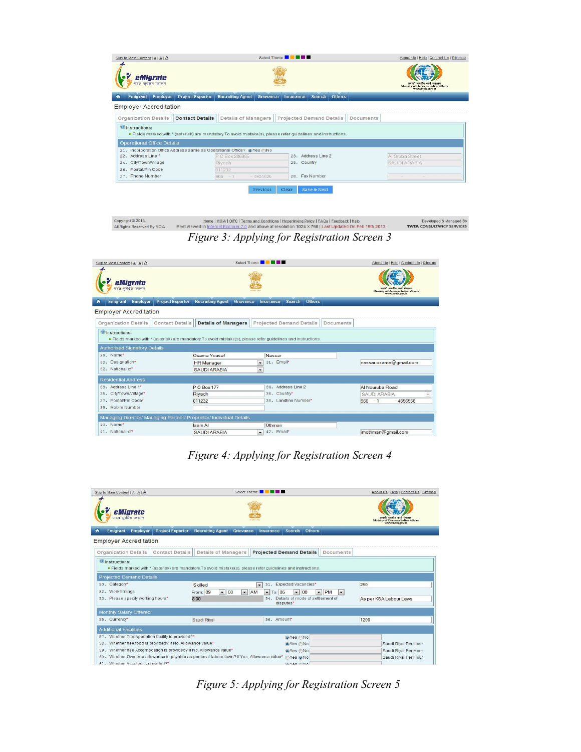| eMigrate<br>सरल सरक्षित प्रवासन                                                                                                                                                                                   |                                                                                                                                |                         |           |             |                                 |               |           | प्रयासी भारतीय कार्य भंत्रासय<br>Ministry of Overseas Indian Affairs<br>www.moia.gov.in |
|-------------------------------------------------------------------------------------------------------------------------------------------------------------------------------------------------------------------|--------------------------------------------------------------------------------------------------------------------------------|-------------------------|-----------|-------------|---------------------------------|---------------|-----------|-----------------------------------------------------------------------------------------|
| Employer<br>Emigrant                                                                                                                                                                                              | <b>Project Exporter</b>                                                                                                        | <b>Recruiting Agent</b> | Grievance | Insurance   | Search                          | <b>Others</b> |           |                                                                                         |
| <b>Employer Accreditation</b>                                                                                                                                                                                     |                                                                                                                                |                         |           |             |                                 |               |           |                                                                                         |
|                                                                                                                                                                                                                   |                                                                                                                                |                         |           |             |                                 |               |           |                                                                                         |
| <b>Organization Details</b>                                                                                                                                                                                       | <b>Contact Details</b>                                                                                                         | Details of Managers     |           |             | <b>Projected Demand Details</b> |               | Documents |                                                                                         |
|                                                                                                                                                                                                                   | <b>Example 3</b> Fields marked with * (asterisk) are mandatory. To avoid mistake(s), please refer quidelines and instructions. |                         |           |             |                                 |               |           |                                                                                         |
|                                                                                                                                                                                                                   |                                                                                                                                |                         |           |             |                                 |               |           |                                                                                         |
|                                                                                                                                                                                                                   |                                                                                                                                |                         |           |             | 23. Address Line 2              |               |           |                                                                                         |
|                                                                                                                                                                                                                   |                                                                                                                                | P O Box 286985          |           | 25. Country |                                 |               |           | Al Oruba Street<br><b>SAUDI ARABIA</b>                                                  |
| <b><i>O</i></b> Instructions:<br><b>Operational Office Details</b><br>21. Incorporation Office Address same as Operational Office? @Yes ONo<br>22. Address Line 1<br>24. City/Town/Village<br>26. Postal/Pin Code |                                                                                                                                | Rivadh<br>011232        |           |             |                                 |               |           |                                                                                         |

<u>Home | MOIA | OIFC | Terms and Conditions | Hyperlinking Policy | FAQs | Feedback | Help</u><br>ed in <u>Internet Explorer 7.0</u> and above at resolution 1024 X 768 | Last Updated On:Feb 19th,2013. Copyright © 2013.<br>All Rights Reserved By MOIA. Developed & Managed By<br>TATA CONSULTANCY SERVICES Best Vi

*Figure 3: Applying for Registration Screen 3*

| Skip to Main Content   A   A   A                                                                                                                                                     |                         |                            |           | Select Theme <b>THE THE THE</b>        |                      |               |           |                     | About Us   Help   Contact Us   Sitemap       |
|--------------------------------------------------------------------------------------------------------------------------------------------------------------------------------------|-------------------------|----------------------------|-----------|----------------------------------------|----------------------|---------------|-----------|---------------------|----------------------------------------------|
| eMigrate<br>.<br>सरल सुरक्षित प्रवासन                                                                                                                                                |                         |                            |           |                                        |                      |               |           |                     | of Overseas Indian Affairs<br>ww.moia.eov.in |
| <b>Employer</b><br><b>Emigrant</b>                                                                                                                                                   | <b>Project Exporter</b> | <b>Recruiting Agent</b>    | Grievance | Insurance                              | Search               | <b>Others</b> |           |                     |                                              |
| <b>Employer Accreditation</b>                                                                                                                                                        |                         |                            |           |                                        |                      |               |           |                     |                                              |
| <b>Organization Details</b>                                                                                                                                                          | <b>Contact Details</b>  | <b>Details of Managers</b> |           | <b>Projected Demand Details</b>        |                      |               | Documents |                     |                                              |
| <sup>1</sup> Instructions:<br>" Fields marked with * (asterisk) are mandatory. To avoid mistake(s), please refer quidelines and instructions.<br><b>Authorised Signatory Details</b> |                         |                            |           |                                        |                      |               |           |                     |                                              |
| 29. Name*                                                                                                                                                                            |                         | Osama Yousaf               |           | Nassar                                 |                      |               |           |                     |                                              |
| 30. Designation*                                                                                                                                                                     |                         | <b>HR</b> Manager          |           | 31. Email*<br>$\cdot$                  |                      |               |           |                     | nassar.osama@gmail.com                       |
| 32. National of*                                                                                                                                                                     |                         | <b>SAUDI ARABIA</b>        |           | $\check{}$                             |                      |               |           |                     |                                              |
| <b>Residential Address</b>                                                                                                                                                           |                         |                            |           |                                        |                      |               |           |                     |                                              |
| 33. Address Line 1*                                                                                                                                                                  |                         | P O Box 177                |           |                                        | 34. Address Line 2   |               |           | Al Nouruba Road     |                                              |
| 35. City/Town/Village*                                                                                                                                                               |                         | Riyadh                     |           | 36. Country*                           |                      |               |           | <b>SAUDI ARABIA</b> |                                              |
| 37. Postal/Pin Code*                                                                                                                                                                 |                         | 011232                     |           |                                        | 38. Landline Number* |               |           | $966 - 1$           | $-4556558$                                   |
| 39. Mobile Number                                                                                                                                                                    |                         |                            |           |                                        |                      |               |           |                     |                                              |
| Managing Director/ Managing Partner/ Proprietor/ Individual Details                                                                                                                  |                         |                            |           |                                        |                      |               |           |                     |                                              |
| 40. Name*                                                                                                                                                                            |                         | Isam Al                    |           | Othman                                 |                      |               |           |                     |                                              |
| 41. National of*                                                                                                                                                                     |                         | <b>SAUDI ARABIA</b>        |           | 42. Email*<br>$\overline{\phantom{0}}$ |                      |               |           | imothman@gmail.com  |                                              |

*Figure 4: Applying for Registration Screen 4*

| Skip to Main Content   A   A   A                           |                                                                                                                 | Select Theme <b>No. 19 IN 19 IN 19</b>                                          | About Us   Help   Contact Us   Sitemap                 |
|------------------------------------------------------------|-----------------------------------------------------------------------------------------------------------------|---------------------------------------------------------------------------------|--------------------------------------------------------|
| eMigrate<br>सरल सुरक्षित प्रवासन                           |                                                                                                                 |                                                                                 | Ministry of Overseas Indian Affairs<br>www.moia.gov.in |
| Emigrant<br><b>Employer</b><br>÷                           | <b>Project Exporter</b><br><b>Recruiting Agent</b>                                                              | Search<br><b>Others</b><br>Grievance<br>Insurance                               |                                                        |
| <b>Employer Accreditation</b>                              |                                                                                                                 |                                                                                 |                                                        |
| <b>Organization Details</b>                                | Details of Managers<br><b>Contact Details</b>                                                                   | <b>Projected Demand Details</b>                                                 | <b>Documents</b>                                       |
| <b><i>O</i></b> Instructions:                              |                                                                                                                 |                                                                                 |                                                        |
|                                                            | " Fields marked with * (asterisk) are mandatory. To avoid mistake(s), please refer quidelines and instructions. |                                                                                 |                                                        |
|                                                            |                                                                                                                 |                                                                                 |                                                        |
| <b>Projected Demand Details</b>                            |                                                                                                                 |                                                                                 |                                                        |
| 50. Category*                                              | Skilled                                                                                                         | 51. Expected Vacancies*<br>$\mathbf{v}$                                         | 250                                                    |
| 52. Work timings                                           | $-100$<br>From: 09                                                                                              | $-$ AM<br>$\blacktriangleright$ To: 05<br>00<br>PM<br>$\blacksquare$<br>$\cdot$ | $\cdot$                                                |
| 53. Please specify working hours*                          | 8.00                                                                                                            | 54. Details of mode of settlement of<br>disputes*                               | As per KSA Labour Laws                                 |
| Monthly Salary Offered                                     |                                                                                                                 |                                                                                 |                                                        |
| 55. Currency*                                              | Saudi Rival                                                                                                     | 56. Amount <sup>*</sup>                                                         | 1200                                                   |
| <b>Additional Facilities</b>                               |                                                                                                                 |                                                                                 |                                                        |
| 57. Whether Transportation facility is provided?*          |                                                                                                                 | ⊙Yes ∩No                                                                        |                                                        |
| 58. Whether free food is provided? If No. Allowance value* |                                                                                                                 | OYes No                                                                         | Saudi Riyal Per Hour                                   |
|                                                            | 59. Whether free Accomodation is provided? If No, Allowance value*                                              | OYes No                                                                         | Saudi Rival Per Hour                                   |
|                                                            | 60. Whether Overtime allowance is payable as per local labour laws? If Yes, Allowance value*                    | ©Yes ⊙No                                                                        | Saudi Riyal Per Hour                                   |
| $61$ Whether Visa fee is provided?*                        |                                                                                                                 | a Voc Alo                                                                       |                                                        |

*Figure 5: Applying for Registration Screen 5*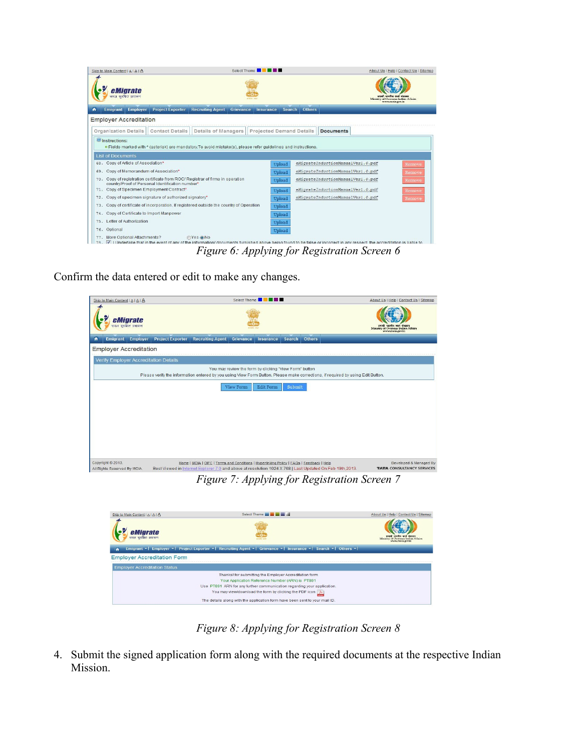

*Figure 6: Applying for Registration Screen 6*

Confirm the data entered or edit to make any changes.

| Skip to Main Content   A   A   A             |                                                                                                           |                                                                                          |           | Select Theme <b>The Manual Property</b>                |        |               |                                                                                                                                 | About Us   Help   Contact Us   Sitemap                                          |
|----------------------------------------------|-----------------------------------------------------------------------------------------------------------|------------------------------------------------------------------------------------------|-----------|--------------------------------------------------------|--------|---------------|---------------------------------------------------------------------------------------------------------------------------------|---------------------------------------------------------------------------------|
| eMigrate<br>सरल सुरक्षित प्रवासन             |                                                                                                           |                                                                                          |           |                                                        |        |               |                                                                                                                                 | भारतीय कार्य मंत्रालय<br>Ministry of Overseas Indian Affairs<br>www.mota.gov.in |
| ٠<br><b>Emigrant</b><br>Employer             | <b>Project Exporter</b>                                                                                   | <b>Recruiting Agent</b>                                                                  | Grievance | <b>Insurance</b>                                       | Search | <b>Others</b> |                                                                                                                                 |                                                                                 |
| <b>Employer Accreditation</b>                |                                                                                                           |                                                                                          |           |                                                        |        |               |                                                                                                                                 |                                                                                 |
| <b>Verify Employer Accreditation Details</b> |                                                                                                           |                                                                                          |           |                                                        |        |               |                                                                                                                                 |                                                                                 |
|                                              |                                                                                                           |                                                                                          |           | You may review the form by clicking "View Form" button |        |               | Please verify the information entered by you using View Form Button. Please make corrections, if required by using Edit Button. |                                                                                 |
|                                              |                                                                                                           |                                                                                          | View Form | <b>Edit Form</b>                                       | Submit |               |                                                                                                                                 |                                                                                 |
|                                              |                                                                                                           |                                                                                          |           |                                                        |        |               |                                                                                                                                 |                                                                                 |
|                                              |                                                                                                           |                                                                                          |           |                                                        |        |               |                                                                                                                                 |                                                                                 |
|                                              |                                                                                                           |                                                                                          |           |                                                        |        |               |                                                                                                                                 |                                                                                 |
|                                              |                                                                                                           |                                                                                          |           |                                                        |        |               |                                                                                                                                 |                                                                                 |
|                                              |                                                                                                           |                                                                                          |           |                                                        |        |               |                                                                                                                                 |                                                                                 |
|                                              |                                                                                                           |                                                                                          |           |                                                        |        |               |                                                                                                                                 |                                                                                 |
| Copyright @ 2013.                            |                                                                                                           | Home   MOIA   OIFC   Terms and Conditions   Hyperlinking Policy   FAQs   Feedback   Help |           |                                                        |        |               |                                                                                                                                 | Developed & Managed By                                                          |
| All Rights Reserved By MOIA.                 | Best Viewed in Internet Explorer 7.0 and above at resolution 1024 X 768   Last Updated On:Feb 19th, 2013. |                                                                                          |           |                                                        |        |               |                                                                                                                                 | <b>TATA CONSULTANCY SERVICES</b>                                                |

*Figure 7: Applying for Registration Screen 7*

| Skip to Main Content   A   A   A     | Select Theme <b>All Common Common Common Common Common Common Common Common Common Common Common Common Common Common Common Common Common Common Common Common Common Common Common Common Common Common Common Common Common C</b> | About Us   Help   Contact Us   Sitemap                 |
|--------------------------------------|--------------------------------------------------------------------------------------------------------------------------------------------------------------------------------------------------------------------------------------|--------------------------------------------------------|
| eMigrate<br>सरल सुरक्षित प्रवासन     |                                                                                                                                                                                                                                      | Ministry of Overseas Indian Affairs<br>www.moja.eov.in |
| ٠                                    | Emigrant ▼   Employer ▼   Project Exporter ▼   Recruiting Agent ▼   Grievance ▼   Insurance ▼   Search ▼   Others ▼                                                                                                                  |                                                        |
| <b>Employer Accreditation Form</b>   |                                                                                                                                                                                                                                      |                                                        |
| <b>Employer Accreditation Status</b> |                                                                                                                                                                                                                                      |                                                        |
|                                      | Thanks! for submitting the Employer Accreditation form                                                                                                                                                                               |                                                        |
|                                      | Your Application Reference Number (ARN) is PT891                                                                                                                                                                                     |                                                        |
|                                      | Use PT891 ARN for any further communication regarding your application.                                                                                                                                                              |                                                        |
|                                      | You may view/download the form by clicking the PDF icon   X                                                                                                                                                                          |                                                        |
|                                      | The details along with the application form have been sent to your mail ID.                                                                                                                                                          |                                                        |

*Figure 8: Applying for Registration Screen 8*

4. Submit the signed application form along with the required documents at the respective Indian Mission.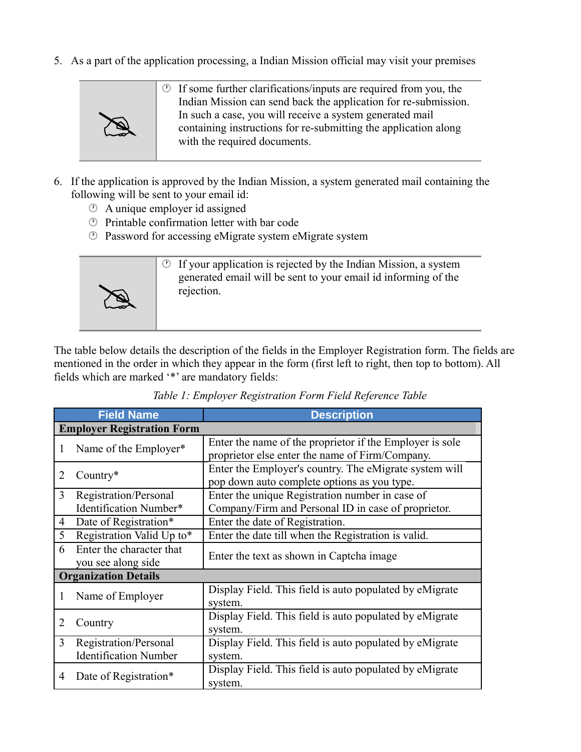5. As a part of the application processing, a Indian Mission official may visit your premises



- 6. If the application is approved by the Indian Mission, a system generated mail containing the following will be sent to your email id:
	- A unique employer id assigned
	- Printable confirmation letter with bar code
	- Password for accessing eMigrate system eMigrate system



The table below details the description of the fields in the Employer Registration form. The fields are mentioned in the order in which they appear in the form (first left to right, then top to bottom). All fields which are marked '\*' are mandatory fields:

|   | <b>Field Name</b>                 | <b>Description</b>                                       |
|---|-----------------------------------|----------------------------------------------------------|
|   | <b>Employer Registration Form</b> |                                                          |
|   | Name of the Employer*             | Enter the name of the proprietor if the Employer is sole |
|   |                                   | proprietor else enter the name of Firm/Company.          |
| 2 | Country $*$                       | Enter the Employer's country. The eMigrate system will   |
|   |                                   | pop down auto complete options as you type.              |
| 3 | Registration/Personal             | Enter the unique Registration number in case of          |
|   | Identification Number*            | Company/Firm and Personal ID in case of proprietor.      |
| 4 | Date of Registration*             | Enter the date of Registration.                          |
| 5 | Registration Valid Up to*         | Enter the date till when the Registration is valid.      |
| 6 | Enter the character that          | Enter the text as shown in Captcha image                 |
|   | you see along side                |                                                          |
|   | <b>Organization Details</b>       |                                                          |
|   | Name of Employer                  | Display Field. This field is auto populated by eMigrate  |
|   |                                   | system.                                                  |
| 2 | Country                           | Display Field. This field is auto populated by eMigrate  |
|   |                                   | system.                                                  |
| 3 | Registration/Personal             | Display Field. This field is auto populated by eMigrate  |
|   | <b>Identification Number</b>      | system.                                                  |
|   |                                   | Display Field. This field is auto populated by eMigrate  |
| 4 | Date of Registration*             | system.                                                  |

*Table 1: Employer Registration Form Field Reference Table*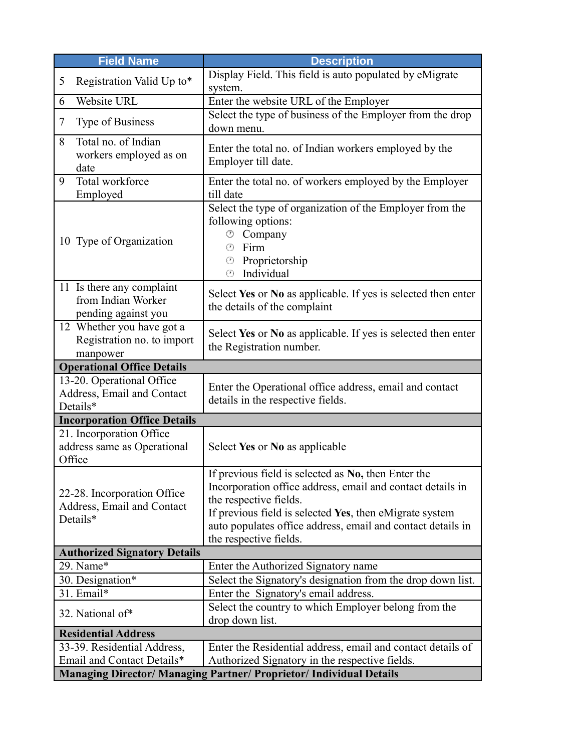| <b>Field Name</b>                                                      | <b>Description</b>                                                                                                                                                                                                                                                                              |
|------------------------------------------------------------------------|-------------------------------------------------------------------------------------------------------------------------------------------------------------------------------------------------------------------------------------------------------------------------------------------------|
| Registration Valid Up to*<br>5                                         | Display Field. This field is auto populated by eMigrate<br>system.                                                                                                                                                                                                                              |
| Website URL<br>6                                                       | Enter the website URL of the Employer                                                                                                                                                                                                                                                           |
| Type of Business<br>7                                                  | Select the type of business of the Employer from the drop<br>down menu.                                                                                                                                                                                                                         |
| Total no. of Indian<br>8<br>workers employed as on<br>date             | Enter the total no. of Indian workers employed by the<br>Employer till date.                                                                                                                                                                                                                    |
| Total workforce<br>9<br>Employed                                       | Enter the total no. of workers employed by the Employer<br>till date                                                                                                                                                                                                                            |
| 10 Type of Organization                                                | Select the type of organization of the Employer from the<br>following options:<br><sup>®</sup> Company<br>Firm<br>$\left( \begin{matrix} 1 \\ 1 \end{matrix} \right)$<br>Proprietorship<br>$\circledcirc$<br>Individual<br>$(\mathcal{F})$                                                      |
| 11 Is there any complaint<br>from Indian Worker<br>pending against you | Select Yes or No as applicable. If yes is selected then enter<br>the details of the complaint                                                                                                                                                                                                   |
| 12 Whether you have got a<br>Registration no. to import<br>manpower    | Select Yes or No as applicable. If yes is selected then enter<br>the Registration number.                                                                                                                                                                                                       |
| <b>Operational Office Details</b>                                      |                                                                                                                                                                                                                                                                                                 |
| 13-20. Operational Office<br>Address, Email and Contact<br>Details*    | Enter the Operational office address, email and contact<br>details in the respective fields.                                                                                                                                                                                                    |
| <b>Incorporation Office Details</b>                                    |                                                                                                                                                                                                                                                                                                 |
| 21. Incorporation Office<br>address same as Operational<br>Office      | Select Yes or No as applicable                                                                                                                                                                                                                                                                  |
| 22-28. Incorporation Office<br>Address, Email and Contact<br>Details*  | If previous field is selected as No, then Enter the<br>Incorporation office address, email and contact details in<br>the respective fields.<br>If previous field is selected Yes, then eMigrate system<br>auto populates office address, email and contact details in<br>the respective fields. |
| <b>Authorized Signatory Details</b>                                    |                                                                                                                                                                                                                                                                                                 |
| 29. Name*                                                              | Enter the Authorized Signatory name                                                                                                                                                                                                                                                             |
| 30. Designation*<br>31. Email*                                         | Select the Signatory's designation from the drop down list.                                                                                                                                                                                                                                     |
| 32. National of*                                                       | Enter the Signatory's email address.<br>Select the country to which Employer belong from the<br>drop down list.                                                                                                                                                                                 |
| <b>Residential Address</b>                                             |                                                                                                                                                                                                                                                                                                 |
| 33-39. Residential Address,<br>Email and Contact Details*              | Enter the Residential address, email and contact details of<br>Authorized Signatory in the respective fields.                                                                                                                                                                                   |
|                                                                        | Managing Director/ Managing Partner/ Proprietor/ Individual Details                                                                                                                                                                                                                             |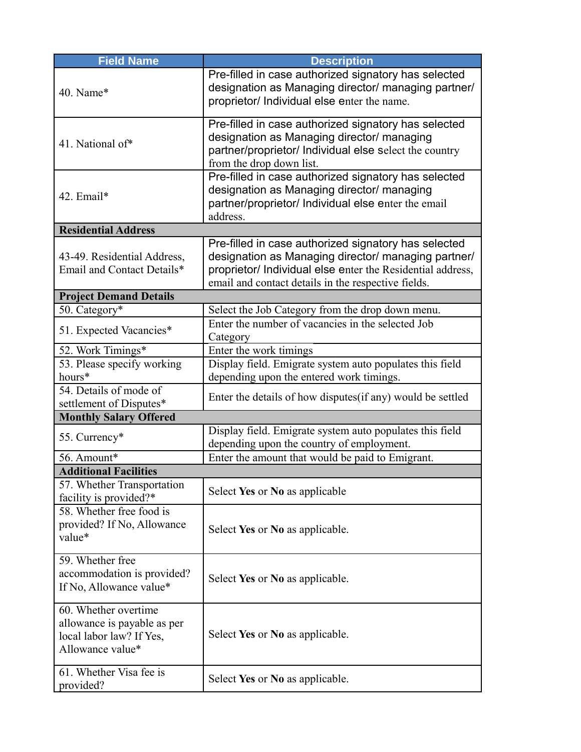| <b>Field Name</b>                                                                                   | <b>Description</b>                                                                                                                                                                                                               |
|-----------------------------------------------------------------------------------------------------|----------------------------------------------------------------------------------------------------------------------------------------------------------------------------------------------------------------------------------|
| 40. Name*                                                                                           | Pre-filled in case authorized signatory has selected<br>designation as Managing director/ managing partner/<br>proprietor/ Individual else enter the name.                                                                       |
| 41. National of*                                                                                    | Pre-filled in case authorized signatory has selected<br>designation as Managing director/ managing<br>partner/proprietor/ Individual else select the country<br>from the drop down list.                                         |
| 42. Email*                                                                                          | Pre-filled in case authorized signatory has selected<br>designation as Managing director/ managing<br>partner/proprietor/ Individual else enter the email<br>address.                                                            |
| <b>Residential Address</b>                                                                          |                                                                                                                                                                                                                                  |
| 43-49. Residential Address,<br>Email and Contact Details*                                           | Pre-filled in case authorized signatory has selected<br>designation as Managing director/ managing partner/<br>proprietor/ Individual else enter the Residential address,<br>email and contact details in the respective fields. |
| <b>Project Demand Details</b>                                                                       |                                                                                                                                                                                                                                  |
| 50. Category*                                                                                       | Select the Job Category from the drop down menu.                                                                                                                                                                                 |
| 51. Expected Vacancies*                                                                             | Enter the number of vacancies in the selected Job<br>Category                                                                                                                                                                    |
| 52. Work Timings*                                                                                   | Enter the work timings                                                                                                                                                                                                           |
| 53. Please specify working<br>hours*                                                                | Display field. Emigrate system auto populates this field<br>depending upon the entered work timings.                                                                                                                             |
| 54. Details of mode of<br>settlement of Disputes*                                                   | Enter the details of how disputes (if any) would be settled                                                                                                                                                                      |
| <b>Monthly Salary Offered</b>                                                                       |                                                                                                                                                                                                                                  |
| 55. Currency*                                                                                       | Display field. Emigrate system auto populates this field<br>depending upon the country of employment.                                                                                                                            |
| 56. Amount*                                                                                         | Enter the amount that would be paid to Emigrant.                                                                                                                                                                                 |
| <b>Additional Facilities</b>                                                                        |                                                                                                                                                                                                                                  |
| 57. Whether Transportation<br>facility is provided?*                                                | Select Yes or No as applicable                                                                                                                                                                                                   |
| 58. Whether free food is<br>provided? If No, Allowance<br>value*                                    | Select Yes or No as applicable.                                                                                                                                                                                                  |
| 59. Whether free<br>accommodation is provided?<br>If No, Allowance value*                           | Select Yes or No as applicable.                                                                                                                                                                                                  |
| 60. Whether overtime<br>allowance is payable as per<br>local labor law? If Yes,<br>Allowance value* | Select Yes or No as applicable.                                                                                                                                                                                                  |
| 61. Whether Visa fee is<br>provided?                                                                | Select Yes or No as applicable.                                                                                                                                                                                                  |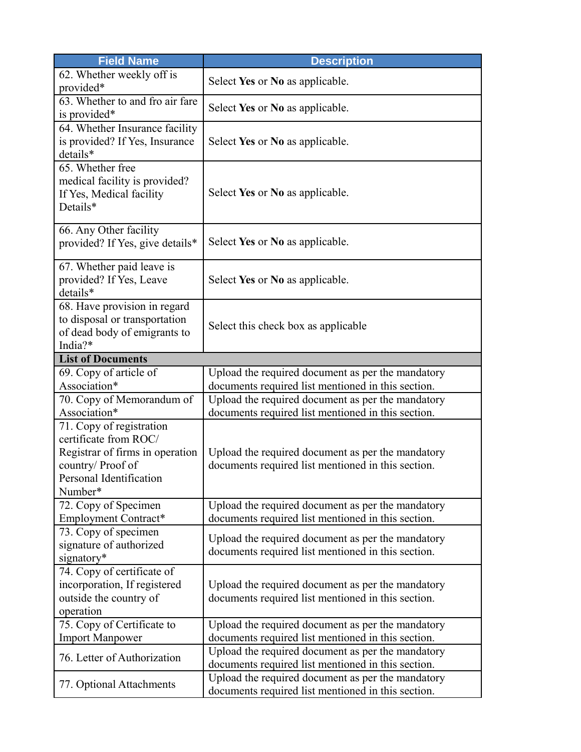| <b>Field Name</b>                                                                                                                              | <b>Description</b>                                                                                      |
|------------------------------------------------------------------------------------------------------------------------------------------------|---------------------------------------------------------------------------------------------------------|
| 62. Whether weekly off is<br>provided*                                                                                                         | Select Yes or No as applicable.                                                                         |
| 63. Whether to and fro air fare<br>is provided*                                                                                                | Select Yes or No as applicable.                                                                         |
| 64. Whether Insurance facility<br>is provided? If Yes, Insurance<br>details*                                                                   | Select Yes or No as applicable.                                                                         |
| 65. Whether free<br>medical facility is provided?<br>If Yes, Medical facility<br>Details*                                                      | Select Yes or No as applicable.                                                                         |
| 66. Any Other facility<br>provided? If Yes, give details*                                                                                      | Select Yes or No as applicable.                                                                         |
| 67. Whether paid leave is<br>provided? If Yes, Leave<br>details*                                                                               | Select Yes or No as applicable.                                                                         |
| 68. Have provision in regard<br>to disposal or transportation<br>of dead body of emigrants to<br>India?*                                       | Select this check box as applicable                                                                     |
| <b>List of Documents</b>                                                                                                                       |                                                                                                         |
| 69. Copy of article of                                                                                                                         | Upload the required document as per the mandatory                                                       |
| Association*                                                                                                                                   | documents required list mentioned in this section.                                                      |
| 70. Copy of Memorandum of<br>Association*                                                                                                      | Upload the required document as per the mandatory<br>documents required list mentioned in this section. |
| 71. Copy of registration<br>certificate from ROC/<br>Registrar of firms in operation<br>country/Proof of<br>Personal Identification<br>Number* | Upload the required document as per the mandatory<br>documents required list mentioned in this section. |
| 72. Copy of Specimen                                                                                                                           | Upload the required document as per the mandatory                                                       |
| Employment Contract*                                                                                                                           | documents required list mentioned in this section.                                                      |
| 73. Copy of specimen<br>signature of authorized<br>signatory*                                                                                  | Upload the required document as per the mandatory<br>documents required list mentioned in this section. |
| 74. Copy of certificate of<br>incorporation, If registered<br>outside the country of<br>operation                                              | Upload the required document as per the mandatory<br>documents required list mentioned in this section. |
| 75. Copy of Certificate to<br><b>Import Manpower</b>                                                                                           | Upload the required document as per the mandatory<br>documents required list mentioned in this section. |
| 76. Letter of Authorization                                                                                                                    | Upload the required document as per the mandatory<br>documents required list mentioned in this section. |
| 77. Optional Attachments                                                                                                                       | Upload the required document as per the mandatory<br>documents required list mentioned in this section. |